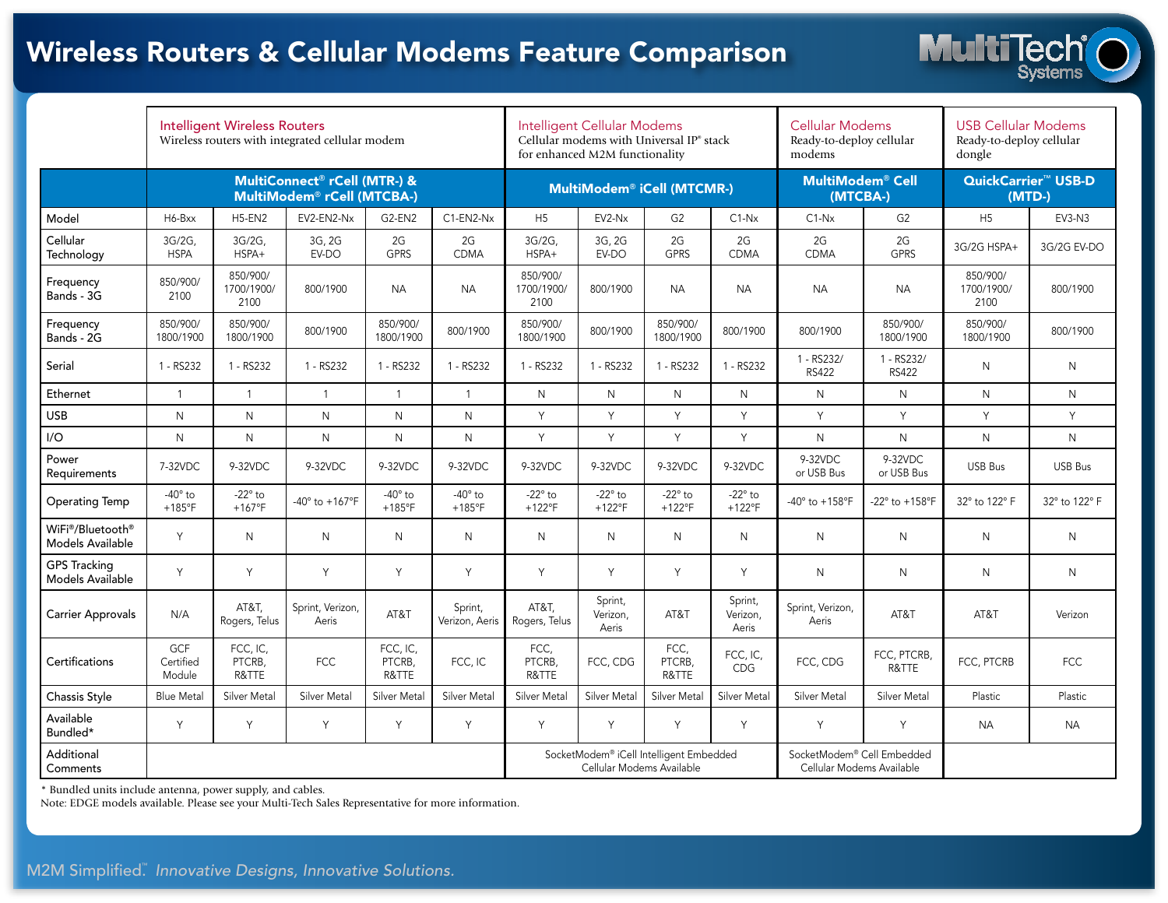# Wireless Routers & Cellular Modems Feature Comparison



|                                         | <b>Intelligent Wireless Routers</b><br>Wireless routers with integrated cellular modem |                                |                                   |                                   |                                   | Intelligent Cellular Modems<br>Cellular modems with Universal IP <sup>*</sup> stack<br>for enhanced M2M functionality |                              |                                   |                                   | <b>Cellular Modems</b><br>Ready-to-deploy cellular<br>modems |                            | <b>USB Cellular Modems</b><br>Ready-to-deploy cellular<br>dongle |                |
|-----------------------------------------|----------------------------------------------------------------------------------------|--------------------------------|-----------------------------------|-----------------------------------|-----------------------------------|-----------------------------------------------------------------------------------------------------------------------|------------------------------|-----------------------------------|-----------------------------------|--------------------------------------------------------------|----------------------------|------------------------------------------------------------------|----------------|
|                                         | MultiConnect® rCell (MTR-) &<br>MultiModem® rCell (MTCBA-)                             |                                |                                   |                                   |                                   | MultiModem® iCell (MTCMR-)                                                                                            |                              |                                   |                                   | <b>MultiModem® Cell</b><br>(MTCBA-)                          |                            | QuickCarrier <sup>™</sup> USB-D<br>$(MTD-)$                      |                |
| Model                                   | H6-Bxx                                                                                 | $H5$ -EN2                      | EV2-EN2-Nx                        | G2-EN2                            | $C1$ -EN2-N $x$                   | H <sub>5</sub>                                                                                                        | EV2-Nx                       | G <sub>2</sub>                    | $C1-Nx$                           | $C1-Nx$                                                      | G <sub>2</sub>             | H <sub>5</sub>                                                   | EV3-N3         |
| Cellular<br>Technology                  | 3G/2G,<br><b>HSPA</b>                                                                  | 3G/2G.<br>HSPA+                | 3G, 2G<br>EV-DO                   | 2G<br><b>GPRS</b>                 | 2G<br><b>CDMA</b>                 | 3G/2G.<br>HSPA+                                                                                                       | 3G, 2G<br>EV-DO              | 2G<br><b>GPRS</b>                 | 2G<br><b>CDMA</b>                 | 2G<br><b>CDMA</b>                                            | 2G<br><b>GPRS</b>          | 3G/2G HSPA+                                                      | 3G/2G EV-DO    |
| Frequency<br>Bands - 3G                 | 850/900/<br>2100                                                                       | 850/900/<br>1700/1900/<br>2100 | 800/1900                          | <b>NA</b>                         | <b>NA</b>                         | 850/900/<br>1700/1900/<br>2100                                                                                        | 800/1900                     | <b>NA</b>                         | <b>NA</b>                         | <b>NA</b>                                                    | <b>NA</b>                  | 850/900/<br>1700/1900/<br>2100                                   | 800/1900       |
| Frequency<br>Bands - 2G                 | 850/900/<br>1800/1900                                                                  | 850/900/<br>1800/1900          | 800/1900                          | 850/900/<br>1800/1900             | 800/1900                          | 850/900/<br>1800/1900                                                                                                 | 800/1900                     | 850/900/<br>1800/1900             | 800/1900                          | 800/1900                                                     | 850/900/<br>1800/1900      | 850/900/<br>1800/1900                                            | 800/1900       |
| Serial                                  | 1 - RS232                                                                              | 1 - RS232                      | 1 - RS232                         | 1 - RS232                         | 1 - RS232                         | 1 - RS232                                                                                                             | 1 - RS232                    | 1 - RS232                         | 1 - RS232                         | 1 - RS232/<br><b>RS422</b>                                   | 1 - RS232/<br><b>RS422</b> | $\mathsf{N}$                                                     | $\mathsf{N}$   |
| Ethernet                                | $\mathbf{1}$                                                                           | $\mathbf{1}$                   | $\mathbf{1}$                      | $\mathbf{1}$                      | $\mathbf{1}$                      | $\mathsf{N}$                                                                                                          | $\mathsf{N}$                 | N                                 | N                                 | N                                                            | N.                         | $\mathsf{N}$                                                     | N              |
| <b>USB</b>                              | $\mathsf{N}$                                                                           | $\mathsf{N}$                   | $\mathsf{N}$                      | N                                 | $\mathsf{N}$                      | Y                                                                                                                     | Y                            | Y                                 | Y                                 | Y                                                            | Y                          | Y                                                                | Y              |
| I/O                                     | $\mathsf{N}$                                                                           | $\mathsf{N}$                   | $\mathsf{N}$                      | N                                 | $\mathsf{N}$                      | Y                                                                                                                     | Y                            | Y                                 | Y                                 | $\mathsf{N}$                                                 | $\mathsf{N}$               | $\mathsf{N}$                                                     | $\mathsf{N}$   |
| Power<br>Requirements                   | 7-32VDC                                                                                | 9-32VDC                        | 9-32VDC                           | 9-32VDC                           | 9-32VDC                           | 9-32VDC                                                                                                               | 9-32VDC                      | 9-32VDC                           | 9-32VDC                           | 9-32VDC<br>or USB Bus                                        | 9-32VDC<br>or USB Bus      | <b>USB Bus</b>                                                   | <b>USB Bus</b> |
| <b>Operating Temp</b>                   | $-40^\circ$ to<br>$+185^{\circ}F$                                                      | $-22^\circ$ to<br>$+167$ °F    | $-40^{\circ}$ to $+167^{\circ}$ F | $-40^\circ$ to<br>$+185^{\circ}F$ | $-40^\circ$ to<br>$+185^{\circ}F$ | -22 $^{\circ}$ to<br>$+122^{\circ}F$                                                                                  | $-22^\circ$ to<br>$+122$ °F  | $-22^\circ$ to<br>$+122^{\circ}F$ | $-22^\circ$ to<br>$+122^{\circ}F$ | -40° to +158°F                                               | -22° to +158°F             | 32° to 122° F                                                    | 32° to 122° F  |
| WiFi®/Bluetooth®<br>Models Available    | Y                                                                                      | $\mathsf{N}$                   | N                                 | N                                 | $\mathsf{N}$                      | $\mathsf{N}$                                                                                                          | $\mathsf{N}$                 | N                                 | N                                 | N                                                            | $\mathsf{N}$               | $\mathsf{N}$                                                     | $\mathsf{N}$   |
| <b>GPS Tracking</b><br>Models Available | Y                                                                                      | Y                              | Y                                 | Y                                 | Y                                 | Y                                                                                                                     | Y                            | Y                                 | Y                                 | N                                                            | $\mathsf{N}$               | ${\sf N}$                                                        | ${\sf N}$      |
| <b>Carrier Approvals</b>                | N/A                                                                                    | AT&T,<br>Rogers, Telus         | Sprint, Verizon,<br>Aeris         | AT&T                              | Sprint,<br>Verizon, Aeris         | AT&T.<br>Rogers, Telus                                                                                                | Sprint,<br>Verizon,<br>Aeris | AT&T                              | Sprint,<br>Verizon,<br>Aeris      | Sprint, Verizon,<br>Aeris                                    | AT&T                       | AT&T                                                             | Verizon        |
| Certifications                          | GCF<br>Certified<br>Module                                                             | FCC, IC,<br>PTCRB,<br>R&TTE    | <b>FCC</b>                        | FCC, IC,<br>PTCRB,<br>R&TTE       | FCC, IC                           | FCC,<br>PTCRB,<br>R&TTE                                                                                               | FCC, CDG                     | FCC,<br>PTCRB,<br>R&TTE           | FCC, IC,<br>CDG                   | FCC, CDG                                                     | FCC, PTCRB,<br>R&TTE       | FCC, PTCRB                                                       | <b>FCC</b>     |
| Chassis Style                           | <b>Blue Metal</b>                                                                      | Silver Metal                   | Silver Metal                      | Silver Metal                      | Silver Metal                      | Silver Metal                                                                                                          | Silver Metal                 | Silver Metal                      | Silver Metal                      | <b>Silver Metal</b>                                          | Silver Metal               | Plastic                                                          | Plastic        |
| Available<br>Bundled*                   | Y                                                                                      | Y                              | Y                                 | Y                                 | Y                                 | Y                                                                                                                     | Y                            | Y                                 | Y                                 | Y                                                            | Y                          | <b>NA</b>                                                        | <b>NA</b>      |
| Additional<br>Comments                  |                                                                                        |                                |                                   |                                   |                                   | SocketModem® iCell Intelligent Embedded<br>Cellular Modems Available                                                  |                              |                                   |                                   | SocketModem® Cell Embedded<br>Cellular Modems Available      |                            |                                                                  |                |

\* Bundled units include antenna, power supply, and cables.

Note: EDGE models available. Please see your Multi-Tech Sales Representative for more information.